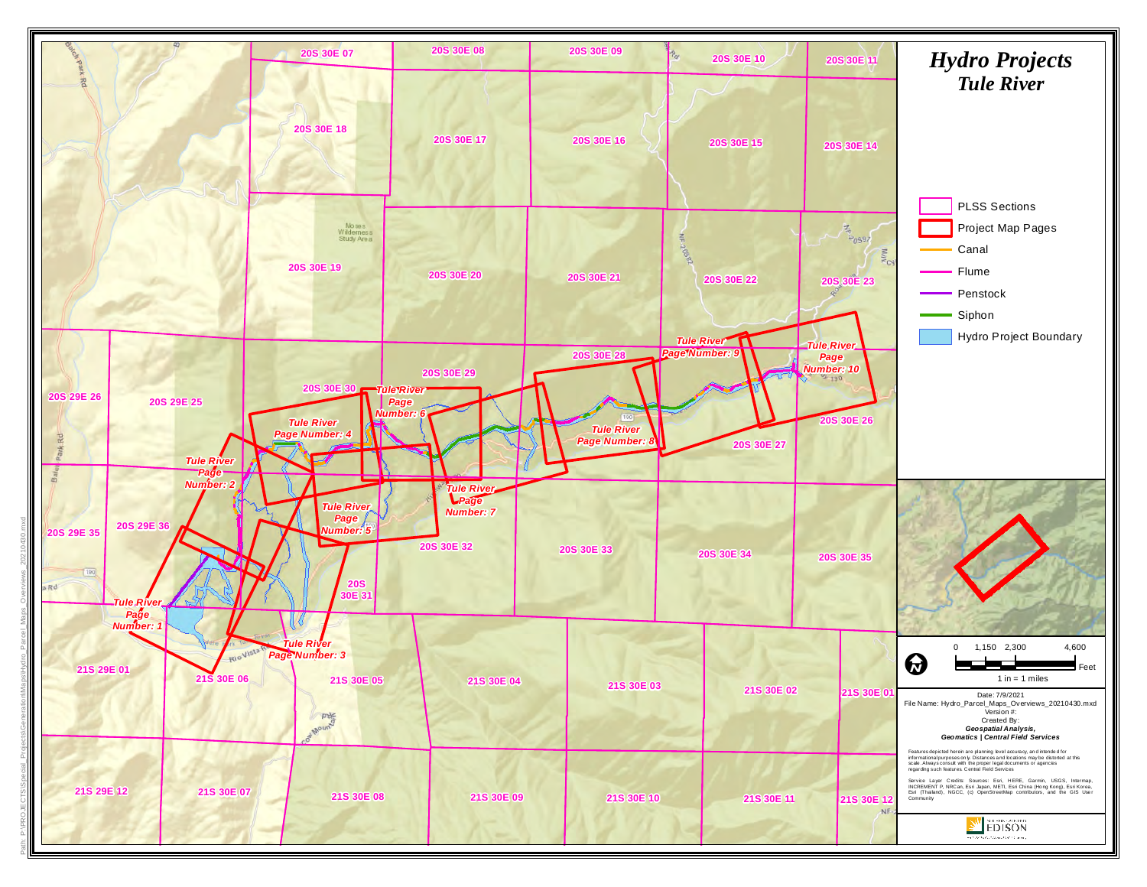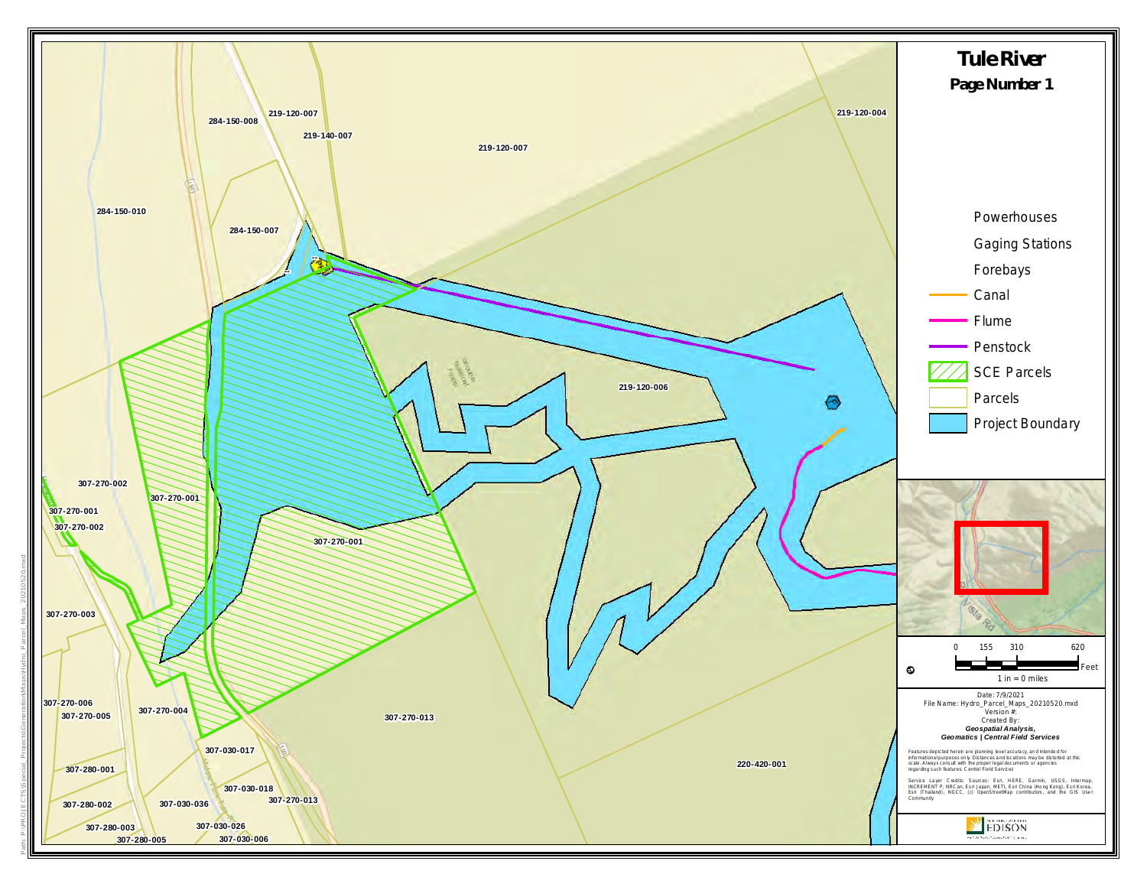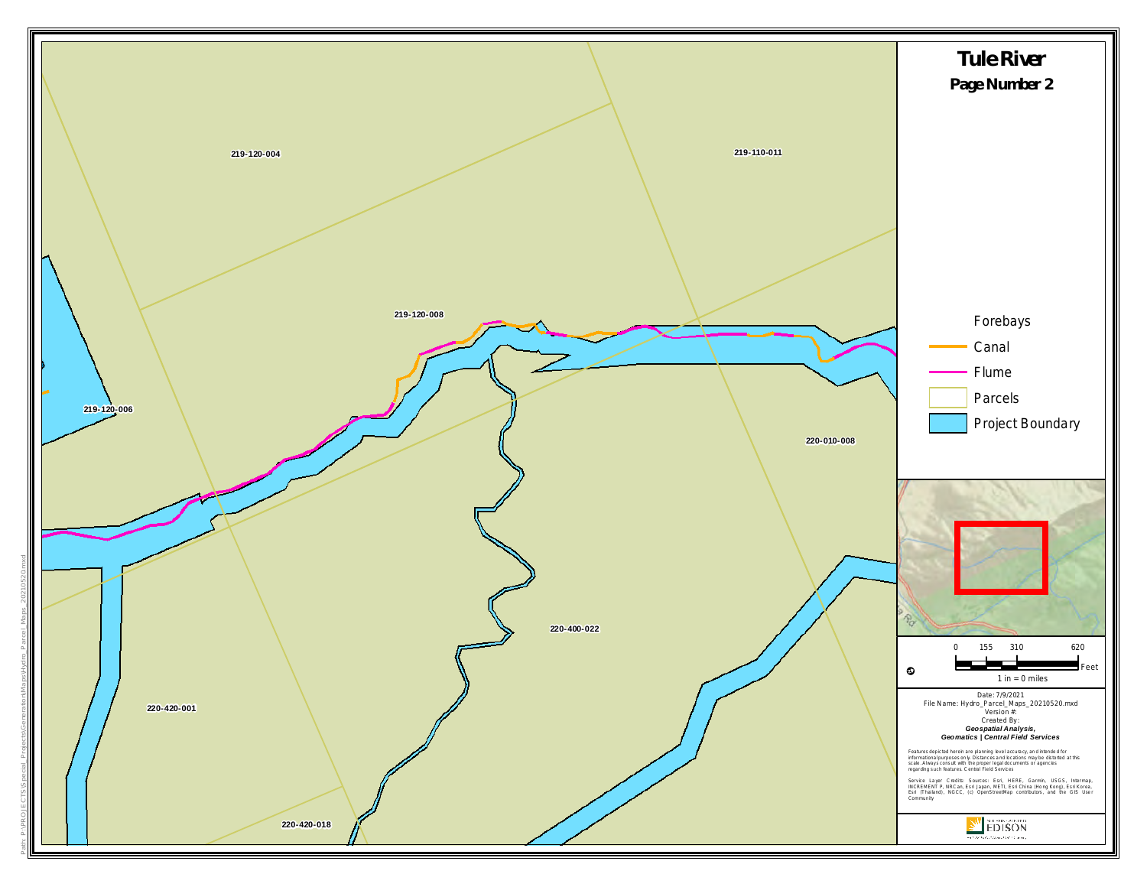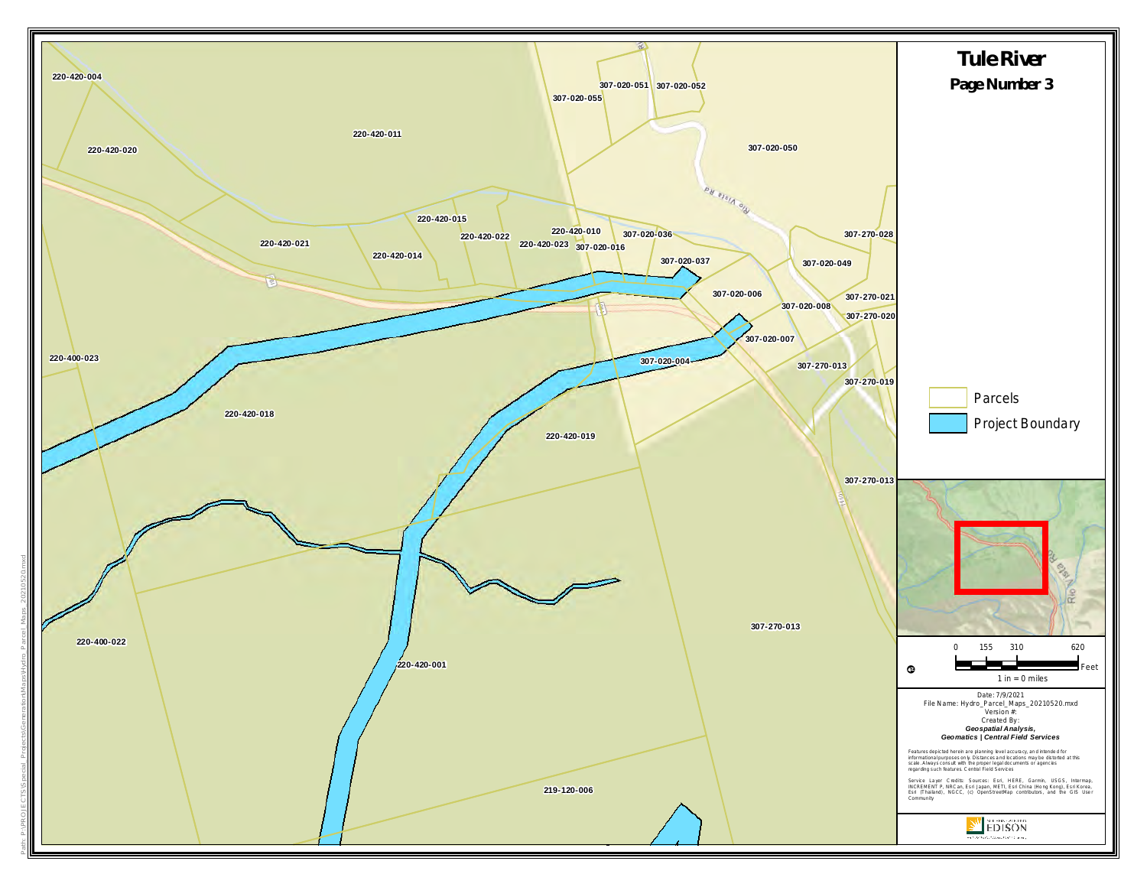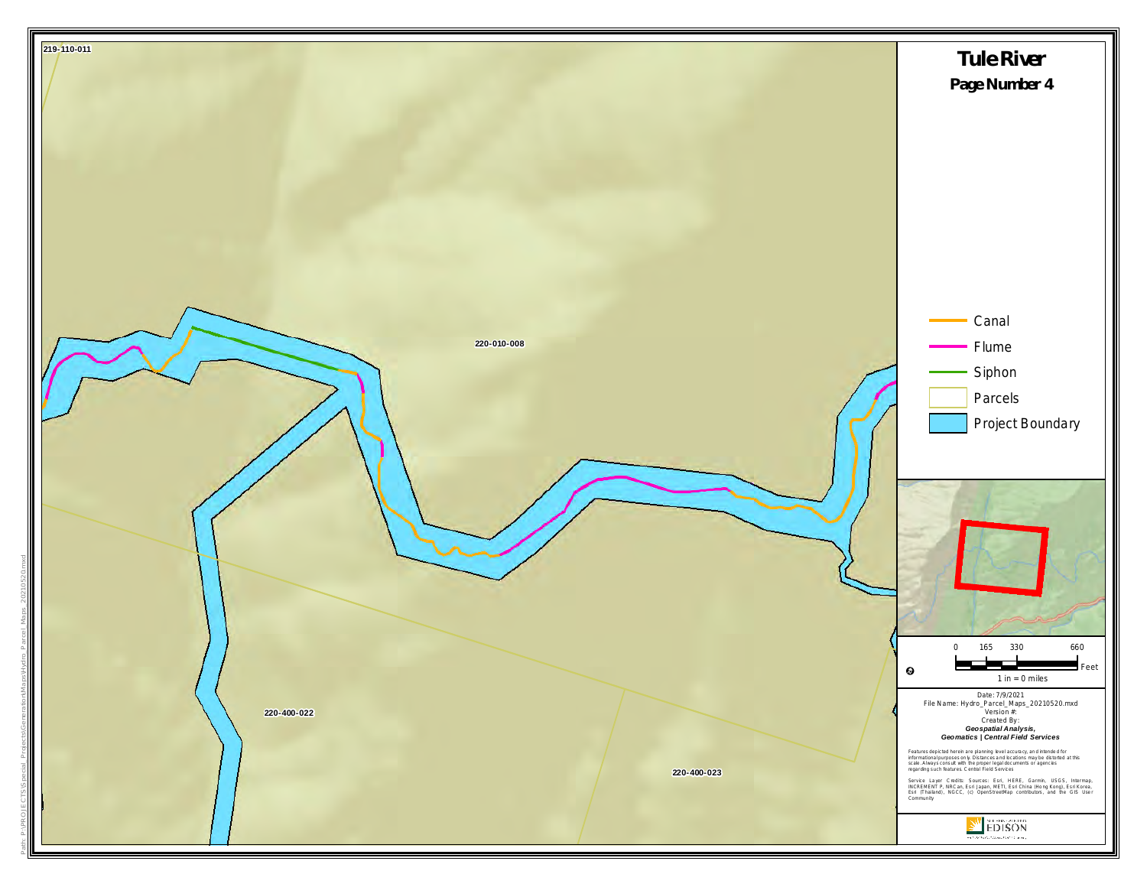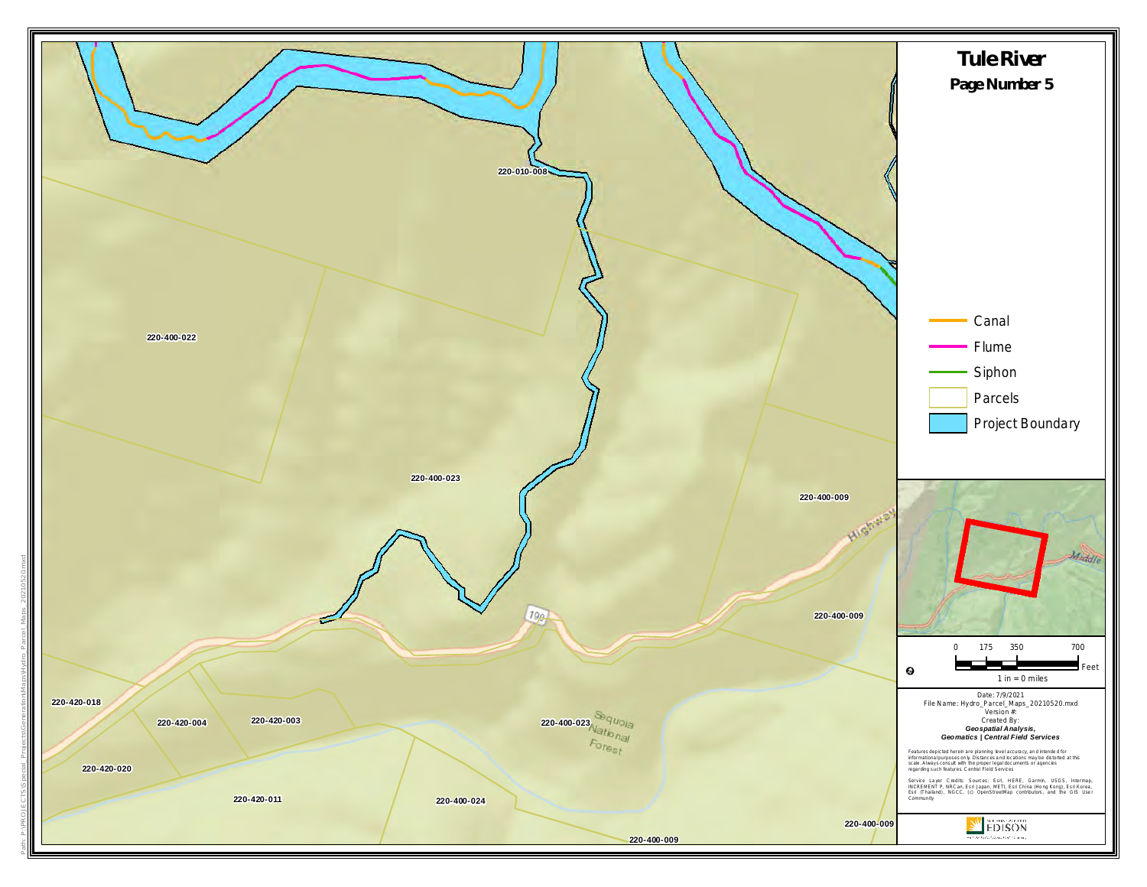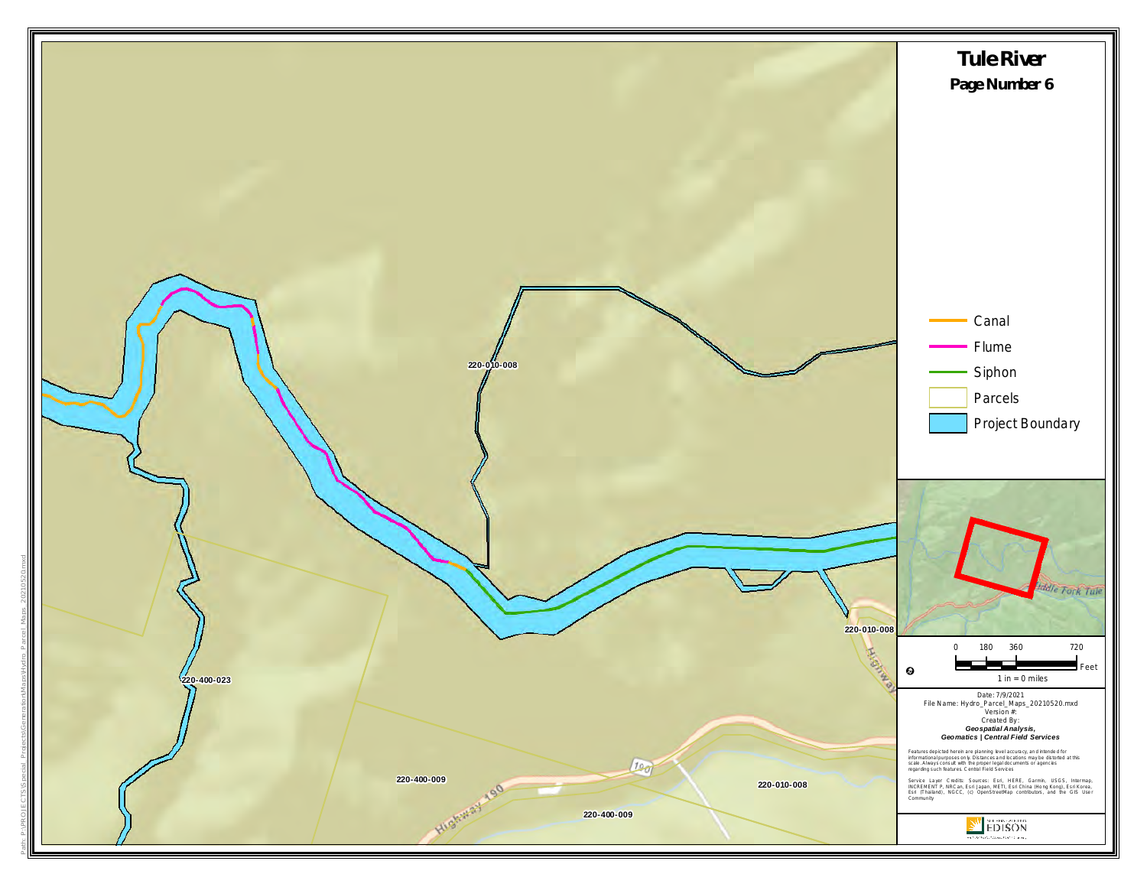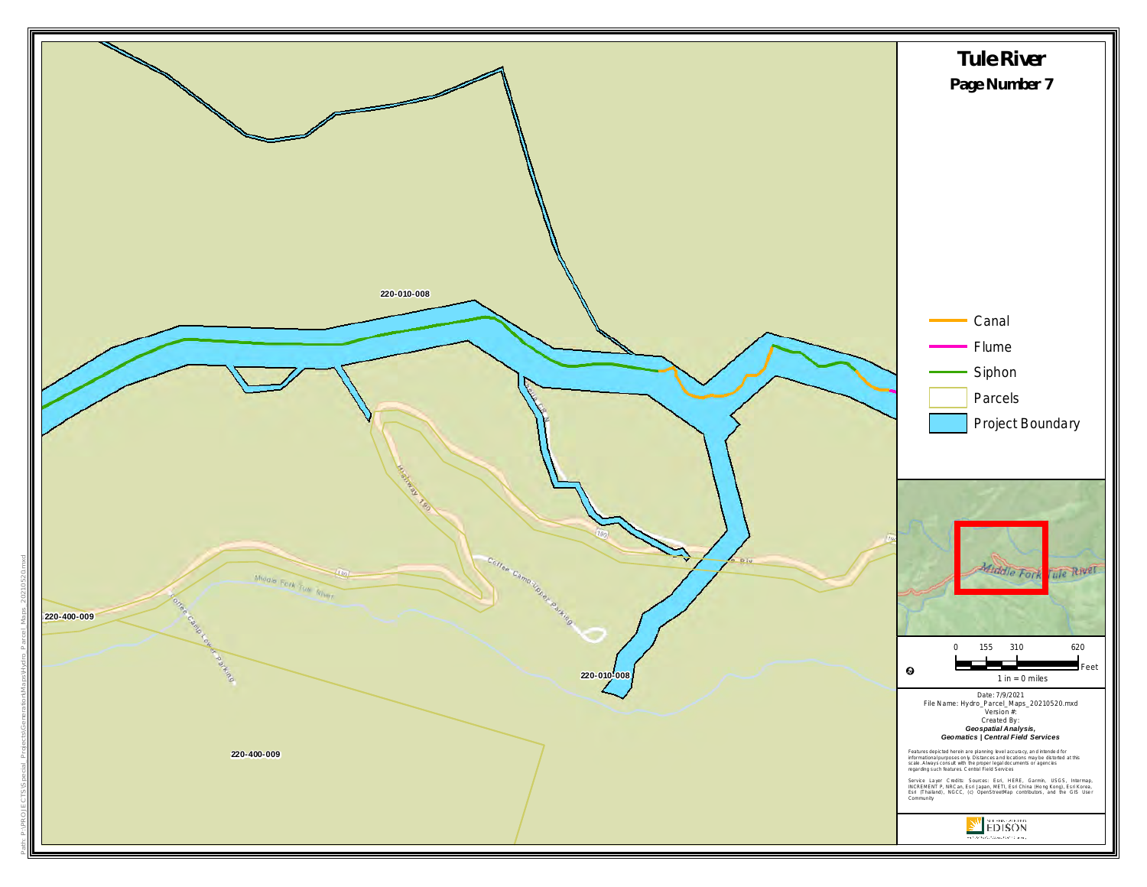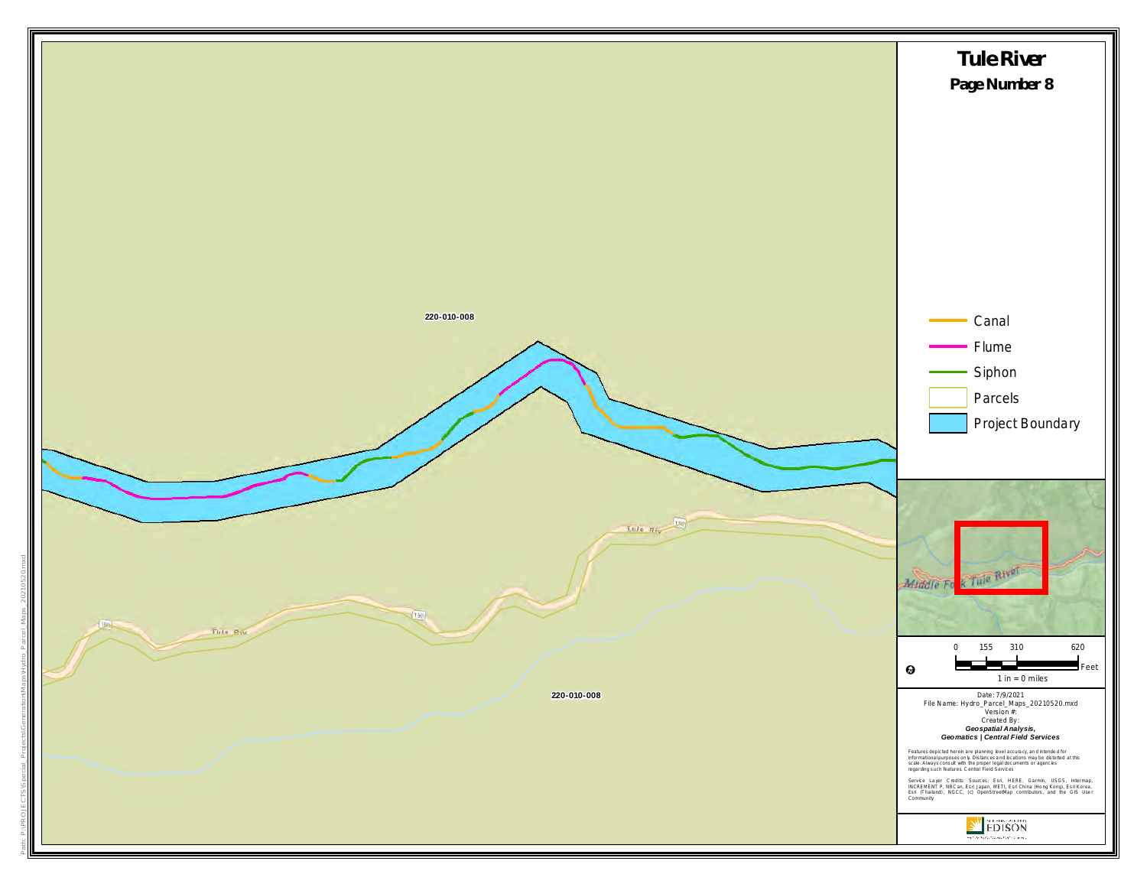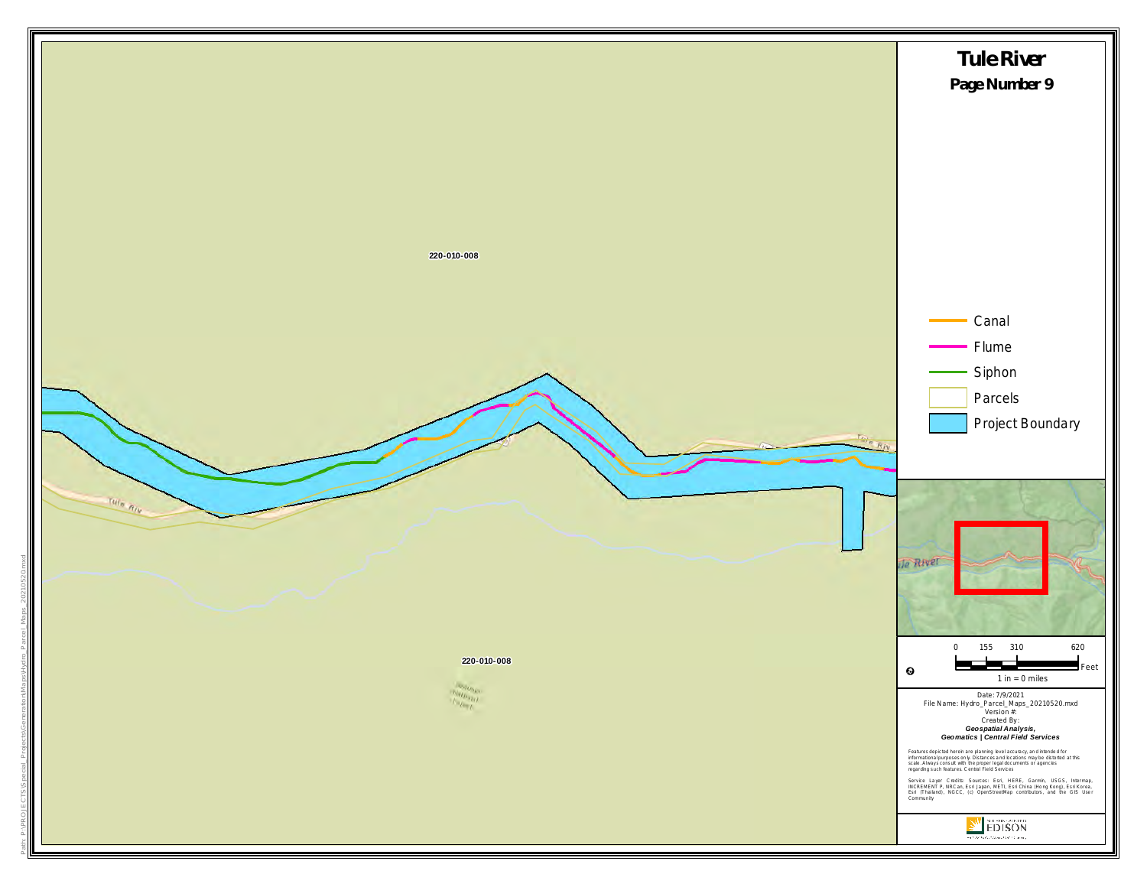